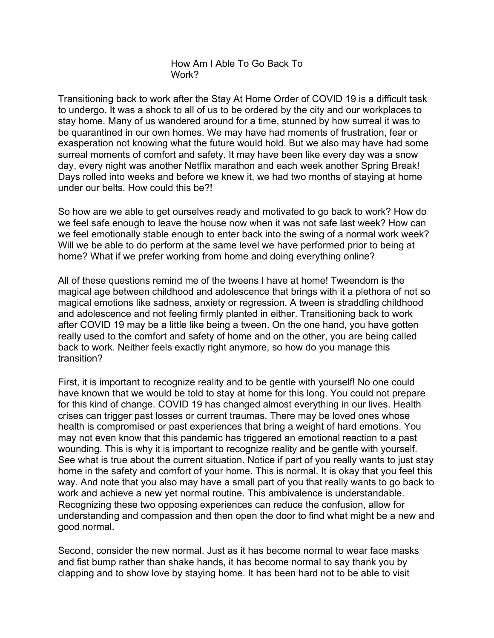How Am I Able To Go Back To Work?

Transitioning back to work after the Stay At Home Order of COVID 19 is a difficult task to undergo. It was a shock to all of us to be ordered by the city and our workplaces to stay home. Many of us wandered around for a time, stunned by how surreal it was to be quarantined in our own homes. We may have had moments of frustration, fear or exasperation not knowing what the future would hold. But we also may have had some surreal moments of comfort and safety. It may have been like every day was a snow day, every night was another Netflix marathon and each week another Spring Break! Days rolled into weeks and before we knew it, we had two months of staying at home under our belts. How could this be?!

So how are we able to get ourselves ready and motivated to go back to work? How do we feel safe enough to leave the house now when it was not safe last week? How can we feel emotionally stable enough to enter back into the swing of a normal work week? Will we be able to do perform at the same level we have performed prior to being at home? What if we prefer working from home and doing everything online?

All of these questions remind me of the tweens I have at home! Tweendom is the magical age between childhood and adolescence that brings with it a plethora of not so magical emotions like sadness, anxiety or regression. A tween is straddling childhood and adolescence and not feeling firmly planted in either. Transitioning back to work after COVID 19 may be a little like being a tween. On the one hand, you have gotten really used to the comfort and safety of home and on the other, you are being called back to work. Neither feels exactly right anymore, so how do you manage this transition?

First, it is important to recognize reality and to be gentle with yourself! No one could have known that we would be told to stay at home for this long. You could not prepare for this kind of change. COVID 19 has changed almost everything in our lives. Health crises can trigger past losses or current traumas. There may be loved ones whose health is compromised or past experiences that bring a weight of hard emotions. You may not even know that this pandemic has triggered an emotional reaction to a past wounding. This is why it is important to recognize reality and be gentle with yourself. See what is true about the current situation. Notice if part of you really wants to just stay home in the safety and comfort of your home. This is normal. It is okay that you feel this way. And note that you also may have a small part of you that really wants to go back to work and achieve a new yet normal routine. This ambivalence is understandable. Recognizing these two opposing experiences can reduce the confusion, allow for understanding and compassion and then open the door to find what might be a new and good normal.

Second, consider the new normal. Just as it has become normal to wear face masks and fist bump rather than shake hands, it has become normal to say thank you by clapping and to show love by staying home. It has been hard not to be able to visit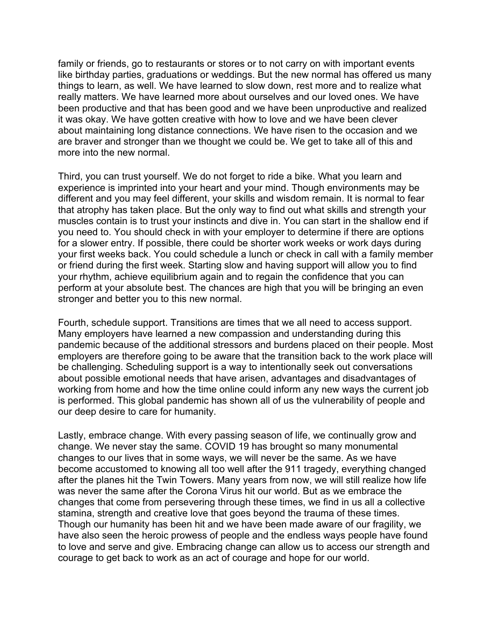family or friends, go to restaurants or stores or to not carry on with important events like birthday parties, graduations or weddings. But the new normal has offered us many things to learn, as well. We have learned to slow down, rest more and to realize what really matters. We have learned more about ourselves and our loved ones. We have been productive and that has been good and we have been unproductive and realized it was okay. We have gotten creative with how to love and we have been clever about maintaining long distance connections. We have risen to the occasion and we are braver and stronger than we thought we could be. We get to take all of this and more into the new normal.

Third, you can trust yourself. We do not forget to ride a bike. What you learn and experience is imprinted into your heart and your mind. Though environments may be different and you may feel different, your skills and wisdom remain. It is normal to fear that atrophy has taken place. But the only way to find out what skills and strength your muscles contain is to trust your instincts and dive in. You can start in the shallow end if you need to. You should check in with your employer to determine if there are options for a slower entry. If possible, there could be shorter work weeks or work days during your first weeks back. You could schedule a lunch or check in call with a family member or friend during the first week. Starting slow and having support will allow you to find your rhythm, achieve equilibrium again and to regain the confidence that you can perform at your absolute best. The chances are high that you will be bringing an even stronger and better you to this new normal.

Fourth, schedule support. Transitions are times that we all need to access support. Many employers have learned a new compassion and understanding during this pandemic because of the additional stressors and burdens placed on their people. Most employers are therefore going to be aware that the transition back to the work place will be challenging. Scheduling support is a way to intentionally seek out conversations about possible emotional needs that have arisen, advantages and disadvantages of working from home and how the time online could inform any new ways the current job is performed. This global pandemic has shown all of us the vulnerability of people and our deep desire to care for humanity.

Lastly, embrace change. With every passing season of life, we continually grow and change. We never stay the same. COVID 19 has brought so many monumental changes to our lives that in some ways, we will never be the same. As we have become accustomed to knowing all too well after the 911 tragedy, everything changed after the planes hit the Twin Towers. Many years from now, we will still realize how life was never the same after the Corona Virus hit our world. But as we embrace the changes that come from persevering through these times, we find in us all a collective stamina, strength and creative love that goes beyond the trauma of these times. Though our humanity has been hit and we have been made aware of our fragility, we have also seen the heroic prowess of people and the endless ways people have found to love and serve and give. Embracing change can allow us to access our strength and courage to get back to work as an act of courage and hope for our world.